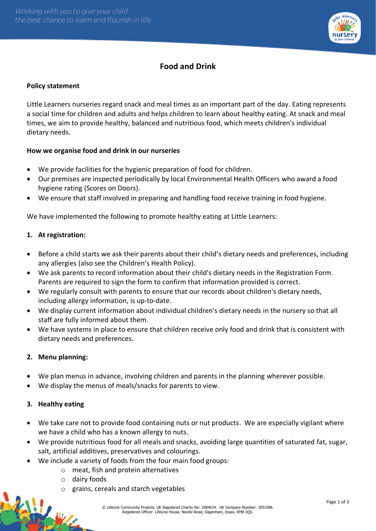

# **Food and Drink**

## **Policy statement**

Little Learners nurseries regard snack and meal times as an important part of the day. Eating represents a social time for children and adults and helps children to learn about healthy eating. At snack and meal times, we aim to provide healthy, balanced and nutritious food, which meets children's individual dietary needs.

## **How we organise food and drink in our nurseries**

- We provide facilities for the hygienic preparation of food for children.
- Our premises are inspected periodically by local Environmental Health Officers who award a food hygiene rating (Scores on Doors).
- We ensure that staff involved in preparing and handling food receive training in food hygiene.

We have implemented the following to promote healthy eating at Little Learners:

### **1. At registration:**

- Before a child starts we ask their parents about their child's dietary needs and preferences, including any allergies (also see the Children's Health Policy).
- We ask parents to record information about their child's dietary needs in the Registration Form. Parents are required to sign the form to confirm that information provided is correct.
- We regularly consult with parents to ensure that our records about children's dietary needs, including allergy information, is up-to-date.
- We display current information about individual children's dietary needs in the nursery so that all staff are fully informed about them.
- We have systems in place to ensure that children receive only food and drink that is consistent with dietary needs and preferences.

### **2. Menu planning:**

- We plan menus in advance, involving children and parents in the planning wherever possible.
- We display the menus of meals/snacks for parents to view.

### **3. Healthy eating**

- We take care not to provide food containing nuts or nut products. We are especially vigilant where we have a child who has a known allergy to nuts.
- We provide nutritious food for all meals and snacks, avoiding large quantities of saturated fat, sugar, salt, artificial additives, preservatives and colourings.
- We include a variety of foods from the four main food groups:
	- o meat, fish and protein alternatives
	- o dairy foods
	- grains, cereals and starch vegetables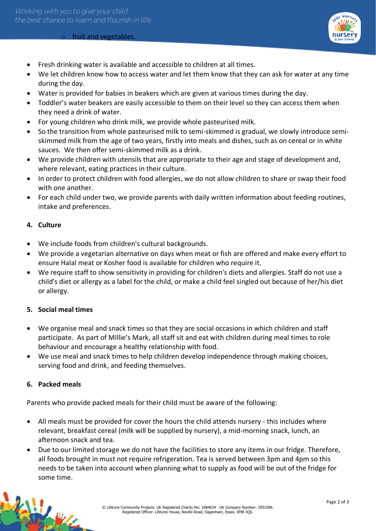#### o fruit and vegetables.



- Fresh drinking water is available and accessible to children at all times.
- We let children know how to access water and let them know that they can ask for water at any time during the day.
- Water is provided for babies in beakers which are given at various times during the day.
- Toddler's water beakers are easily accessible to them on their level so they can access them when they need a drink of water.
- For young children who drink milk, we provide whole pasteurised milk.
- So the transition from whole pasteurised milk to semi-skimmed is gradual, we slowly introduce semiskimmed milk from the age of two years, firstly into meals and dishes, such as on cereal or in white sauces. We then offer semi-skimmed milk as a drink.
- We provide children with utensils that are appropriate to their age and stage of development and, where relevant, eating practices in their culture.
- In order to protect children with food allergies, we do not allow children to share or swap their food with one another.
- For each child under two, we provide parents with daily written information about feeding routines, intake and preferences.

#### **4. Culture**

- We include foods from children's cultural backgrounds.
- We provide a vegetarian alternative on days when meat or fish are offered and make every effort to ensure Halal meat or Kosher food is available for children who require it.
- We require staff to show sensitivity in providing for children's diets and allergies. Staff do not use a child's diet or allergy as a label for the child, or make a child feel singled out because of her/his diet or allergy.

### **5. Social meal times**

- We organise meal and snack times so that they are social occasions in which children and staff participate. As part of Millie's Mark, all staff sit and eat with children during meal times to role behaviour and encourage a healthy relationship with food.
- We use meal and snack times to help children develop independence through making choices, serving food and drink, and feeding themselves.

#### **6. Packed meals**

Parents who provide packed meals for their child must be aware of the following:

- All meals must be provided for cover the hours the child attends nursery this includes where relevant, breakfast cereal (milk will be supplied by nursery), a mid-morning snack, lunch, an afternoon snack and tea.
- Due to our limited storage we do not have the facilities to store any items in our fridge. Therefore, all foods brought in must not require refrigeration. Tea is served between 3pm and 4pm so this needs to be taken into account when planning what to supply as food will be out of the fridge for some time.